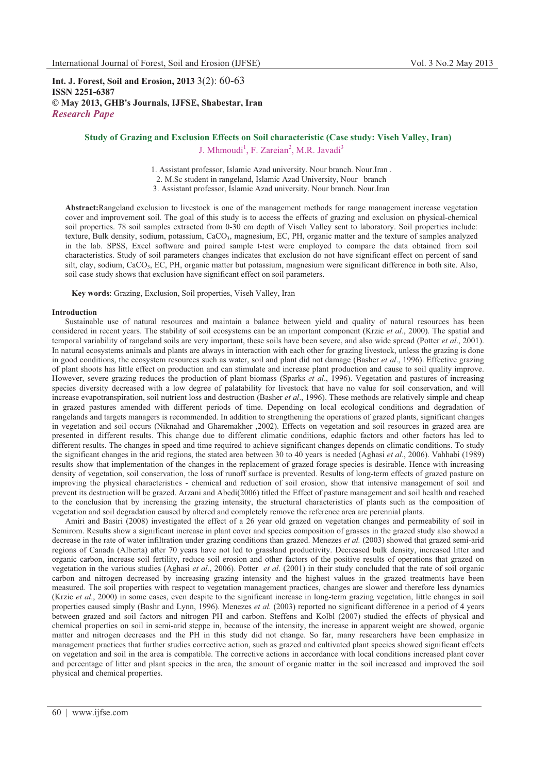**Int. J. Forest, Soil and Erosion, 2013** 3(2): 60-63 **ISSN 2251-6387 © May 2013, GHB's Journals, IJFSE, Shabestar, Iran** *Research Pape* 

# **Study of Grazing and Exclusion Effects on Soil characteristic (Case study: Viseh Valley, Iran)** J. Mhmoudi<sup>1</sup>, F. Zareian<sup>2</sup>, M.R. Javadi<sup>3</sup>

1. Assistant professor, Islamic Azad university. Nour branch. Nour.Iran . 2. M.Sc student in rangeland, Islamic Azad University, Nour branch 3. Assistant professor, Islamic Azad university. Nour branch. Nour.Iran

**Abstract:**Rangeland exclusion to livestock is one of the management methods for range management increase vegetation cover and improvement soil. The goal of this study is to access the effects of grazing and exclusion on physical-chemical soil properties. 78 soil samples extracted from 0-30 cm depth of Viseh Valley sent to laboratory. Soil properties include: texture, Bulk density, sodium, potassium, CaCO<sub>3</sub>, magnesium, EC, PH, organic matter and the texture of samples analyzed in the lab. SPSS, Excel software and paired sample t-test were employed to compare the data obtained from soil characteristics. Study of soil parameters changes indicates that exclusion do not have significant effect on percent of sand silt, clay, sodium, CaCO3, EC, PH, organic matter but potassium, magnesium were significant difference in both site. Also, soil case study shows that exclusion have significant effect on soil parameters.

**Key words**: Grazing, Exclusion, Soil properties, Viseh Valley, Iran

## **Introduction**

Sustainable use of natural resources and maintain a balance between yield and quality of natural resources has been considered in recent years. The stability of soil ecosystems can be an important component (Krzic *et al*., 2000). The spatial and temporal variability of rangeland soils are very important, these soils have been severe, and also wide spread (Potter *et al*., 2001). In natural ecosystems animals and plants are always in interaction with each other for grazing livestock, unless the grazing is done in good conditions, the ecosystem resources such as water, soil and plant did not damage (Basher *et al*., 1996). Effective grazing of plant shoots has little effect on production and can stimulate and increase plant production and cause to soil quality improve. However, severe grazing reduces the production of plant biomass (Sparks *et al*., 1996). Vegetation and pastures of increasing species diversity decreased with a low degree of palatability for livestock that have no value for soil conservation, and will increase evapotranspiration, soil nutrient loss and destruction (Basher *et al*., 1996). These methods are relatively simple and cheap in grazed pastures amended with different periods of time. Depending on local ecological conditions and degradation of rangelands and targets managers is recommended. In addition to strengthening the operations of grazed plants, significant changes in vegetation and soil occurs (Niknahad and Gharemakher ,2002). Effects on vegetation and soil resources in grazed area are presented in different results. This change due to different climatic conditions, edaphic factors and other factors has led to different results. The changes in speed and time required to achieve significant changes depends on climatic conditions. To study the significant changes in the arid regions, the stated area between 30 to 40 years is needed (Aghasi *et al*., 2006). Vahhabi (1989) results show that implementation of the changes in the replacement of grazed forage species is desirable. Hence with increasing density of vegetation, soil conservation, the loss of runoff surface is prevented. Results of long-term effects of grazed pasture on improving the physical characteristics - chemical and reduction of soil erosion, show that intensive management of soil and prevent its destruction will be grazed. Arzani and Abedi(2006) titled the Effect of pasture management and soil health and reached to the conclusion that by increasing the grazing intensity, the structural characteristics of plants such as the composition of vegetation and soil degradation caused by altered and completely remove the reference area are perennial plants.

Amiri and Basiri (2008) investigated the effect of a 26 year old grazed on vegetation changes and permeability of soil in Semirom. Results show a significant increase in plant cover and species composition of grasses in the grazed study also showed a decrease in the rate of water infiltration under grazing conditions than grazed. Menezes *et al.* (2003) showed that grazed semi-arid regions of Canada (Alberta) after 70 years have not led to grassland productivity. Decreased bulk density, increased litter and organic carbon, increase soil fertility, reduce soil erosion and other factors of the positive results of operations that grazed on vegetation in the various studies (Aghasi *et al*., 2006). Potter *et al*. (2001) in their study concluded that the rate of soil organic carbon and nitrogen decreased by increasing grazing intensity and the highest values in the grazed treatments have been measured. The soil properties with respect to vegetation management practices, changes are slower and therefore less dynamics (Krzic *et al*., 2000) in some cases, even despite to the significant increase in long-term grazing vegetation, little changes in soil properties caused simply (Bashr and Lynn, 1996). Menezes *et al.* (2003) reported no significant difference in a period of 4 years between grazed and soil factors and nitrogen PH and carbon. Steffens and Kolbl (2007) studied the effects of physical and chemical properties on soil in semi-arid steppe in, because of the intensity, the increase in apparent weight are showed, organic matter and nitrogen decreases and the PH in this study did not change. So far, many researchers have been emphasize in management practices that further studies corrective action, such as grazed and cultivated plant species showed significant effects on vegetation and soil in the area is compatible. The corrective actions in accordance with local conditions increased plant cover and percentage of litter and plant species in the area, the amount of organic matter in the soil increased and improved the soil physical and chemical properties.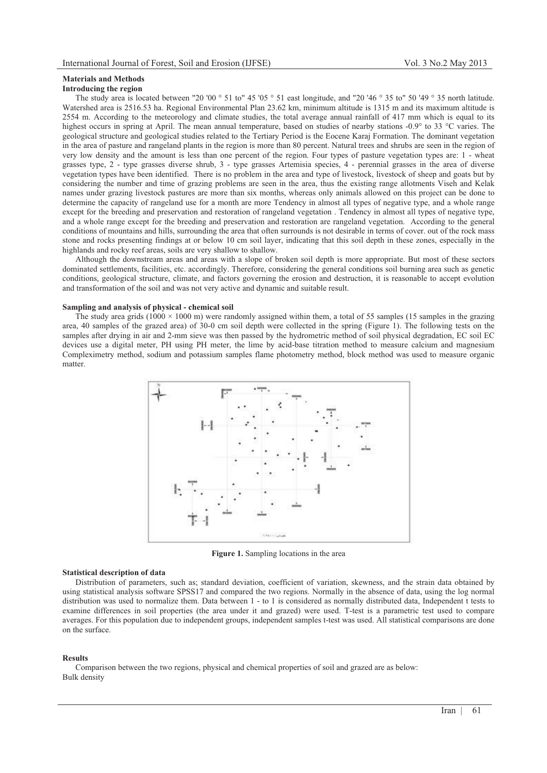# **Materials and Methods**

## **Introducing the region**

The study area is located between "20 '00  $\degree$  51 to" 45 '05  $\degree$  51 east longitude, and "20 '46  $\degree$  35 to" 50 '49  $\degree$  35 north latitude. Watershed area is 2516.53 ha. Regional Environmental Plan 23.62 km, minimum altitude is 1315 m and its maximum altitude is 2554 m. According to the meteorology and climate studies, the total average annual rainfall of 417 mm which is equal to its highest occurs in spring at April. The mean annual temperature, based on studies of nearby stations -0.9° to 33 °C varies. The geological structure and geological studies related to the Tertiary Period is the Eocene Karaj Formation. The dominant vegetation in the area of pasture and rangeland plants in the region is more than 80 percent. Natural trees and shrubs are seen in the region of very low density and the amount is less than one percent of the region. Four types of pasture vegetation types are: 1 - wheat grasses type, 2 - type grasses diverse shrub, 3 - type grasses Artemisia species, 4 - perennial grasses in the area of diverse vegetation types have been identified. There is no problem in the area and type of livestock, livestock of sheep and goats but by considering the number and time of grazing problems are seen in the area, thus the existing range allotments Viseh and Kelak names under grazing livestock pastures are more than six months, whereas only animals allowed on this project can be done to determine the capacity of rangeland use for a month are more Tendency in almost all types of negative type, and a whole range except for the breeding and preservation and restoration of rangeland vegetation . Tendency in almost all types of negative type, and a whole range except for the breeding and preservation and restoration are rangeland vegetation. According to the general conditions of mountains and hills, surrounding the area that often surrounds is not desirable in terms of cover. out of the rock mass stone and rocks presenting findings at or below 10 cm soil layer, indicating that this soil depth in these zones, especially in the highlands and rocky reef areas, soils are very shallow to shallow.

Although the downstream areas and areas with a slope of broken soil depth is more appropriate. But most of these sectors dominated settlements, facilities, etc. accordingly. Therefore, considering the general conditions soil burning area such as genetic conditions, geological structure, climate, and factors governing the erosion and destruction, it is reasonable to accept evolution and transformation of the soil and was not very active and dynamic and suitable result.

## **Sampling and analysis of physical - chemical soil**

The study area grids (1000  $\times$  1000 m) were randomly assigned within them, a total of 55 samples (15 samples in the grazing area, 40 samples of the grazed area) of 30-0 cm soil depth were collected in the spring (Figure 1). The following tests on the samples after drying in air and 2-mm sieve was then passed by the hydrometric method of soil physical degradation, EC soil EC devices use a digital meter, PH using PH meter, the lime by acid-base titration method to measure calcium and magnesium Compleximetry method, sodium and potassium samples flame photometry method, block method was used to measure organic matter.



**Figure 1.** Sampling locations in the area

### **Statistical description of data**

Distribution of parameters, such as; standard deviation, coefficient of variation, skewness, and the strain data obtained by using statistical analysis software SPSS17 and compared the two regions. Normally in the absence of data, using the log normal distribution was used to normalize them. Data between 1 - to 1 is considered as normally distributed data, Independent t tests to examine differences in soil properties (the area under it and grazed) were used. T-test is a parametric test used to compare averages. For this population due to independent groups, independent samples t-test was used. All statistical comparisons are done on the surface.

#### **Results**

Comparison between the two regions, physical and chemical properties of soil and grazed are as below: Bulk density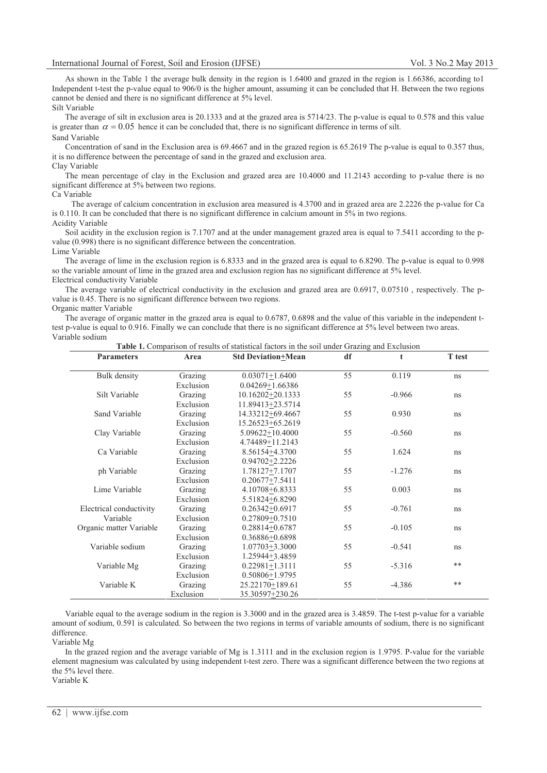As shown in the Table 1 the average bulk density in the region is 1.6400 and grazed in the region is 1.66386, according to1 Independent t-test the p-value equal to 906/0 is the higher amount, assuming it can be concluded that H. Between the two regions cannot be denied and there is no significant difference at 5% level. Silt Variable

The average of silt in exclusion area is 20.1333 and at the grazed area is 5714/23. The p-value is equal to 0.578 and this value is greater than  $\alpha = 0.05$  hence it can be concluded that, there is no significant difference in terms of silt. Sand Variable

Concentration of sand in the Exclusion area is 69.4667 and in the grazed region is 65.2619 The p-value is equal to 0.357 thus, it is no difference between the percentage of sand in the grazed and exclusion area. Clay Variable

The mean percentage of clay in the Exclusion and grazed area are 10.4000 and 11.2143 according to p-value there is no significant difference at 5% between two regions.

Ca Variable

 The average of calcium concentration in exclusion area measured is 4.3700 and in grazed area are 2.2226 the p-value for Ca is 0.110. It can be concluded that there is no significant difference in calcium amount in 5% in two regions. Acidity Variable

Soil acidity in the exclusion region is 7.1707 and at the under management grazed area is equal to 7.5411 according to the pvalue (0.998) there is no significant difference between the concentration. Lime Variable

The average of lime in the exclusion region is 6.8333 and in the grazed area is equal to 6.8290. The p-value is equal to 0.998 so the variable amount of lime in the grazed area and exclusion region has no significant difference at 5% level. Electrical conductivity Variable

The average variable of electrical conductivity in the exclusion and grazed area are 0.6917, 0.07510 , respectively. The pvalue is 0.45. There is no significant difference between two regions. Organic matter Variable

The average of organic matter in the grazed area is equal to 0.6787, 0.6898 and the value of this variable in the independent ttest p-value is equal to 0.916. Finally we can conclude that there is no significant difference at 5% level between two areas. Variable sodium

| <b>Parameters</b>       | Area      | <b>Std Deviation+Mean</b> | df | t        | T test |
|-------------------------|-----------|---------------------------|----|----------|--------|
| Bulk density            | Grazing   | $0.03071 + 1.6400$        | 55 | 0.119    | ns     |
|                         | Exclusion | $0.04269 + 1.66386$       |    |          |        |
| Silt Variable           |           |                           |    | $-0.966$ |        |
|                         | Grazing   | 10.16202+20.1333          | 55 |          | ns     |
|                         | Exclusion | 11.89413+23.5714          |    |          |        |
| Sand Variable           | Grazing   | 14.33212+69.4667          | 55 | 0.930    | ns     |
|                         | Exclusion | 15.26523+65.2619          |    |          |        |
| Clay Variable           | Grazing   | 5.09622+10.4000           | 55 | $-0.560$ | ns     |
|                         | Exclusion | 4.74489+11.2143           |    |          |        |
| Ca Variable             | Grazing   | 8.56154+4.3700            | 55 | 1.624    | ns     |
|                         | Exclusion | $0.94702 + 2.2226$        |    |          |        |
| ph Variable             | Grazing   | 1.78127+7.1707            | 55 | $-1.276$ | ns     |
|                         | Exclusion | $0.20677 + 7.5411$        |    |          |        |
| Lime Variable           | Grazing   | 4.10708+6.8333            | 55 | 0.003    | ns     |
|                         | Exclusion | 5.51824+6.8290            |    |          |        |
| Electrical conductivity | Grazing   | $0.26342 + 0.6917$        | 55 | $-0.761$ | ns     |
| Variable                | Exclusion | $0.27809 + 0.7510$        |    |          |        |
| Organic matter Variable | Grazing   | 0.28814+0.6787            | 55 | $-0.105$ | ns     |
|                         | Exclusion | 0.36886+0.6898            |    |          |        |
| Variable sodium         | Grazing   | $1.07703 + 3.3000$        | 55 | $-0.541$ | ns     |
|                         | Exclusion | 1.25944+3.4859            |    |          |        |
| Variable Mg             | Grazing   | $0.22981 + 1.3111$        | 55 | $-5.316$ | **     |
|                         | Exclusion | $0.50806 + 1.9795$        |    |          |        |
| Variable K              | Grazing   | 25.22170+189.61           | 55 | $-4.386$ | **     |
|                         | Exclusion | 35.30597+230.26           |    |          |        |

**Table 1.** Comparison of results of statistical factors in the soil under Grazing and Exclusion

Variable equal to the average sodium in the region is 3.3000 and in the grazed area is 3.4859. The t-test p-value for a variable amount of sodium, 0.591 is calculated. So between the two regions in terms of variable amounts of sodium, there is no significant difference.

Variable Mg

In the grazed region and the average variable of Mg is 1.3111 and in the exclusion region is 1.9795. P-value for the variable element magnesium was calculated by using independent t-test zero. There was a significant difference between the two regions at the 5% level there.

Variable K